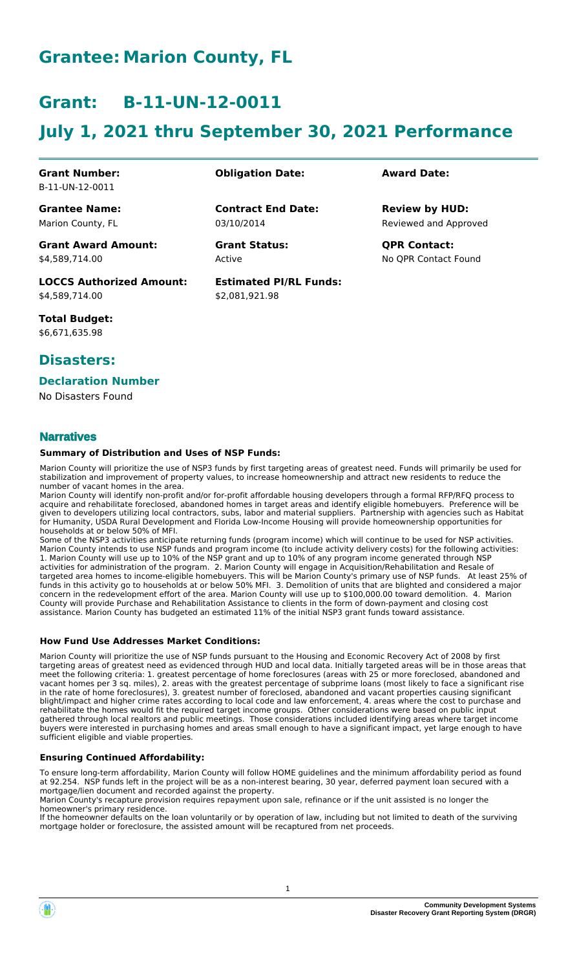# **Grantee: Marion County, FL**

# **Grant: B-11-UN-12-0011**

# **July 1, 2021 thru September 30, 2021 Performance**

**Contract End Date:**

**Estimated PI/RL Funds:**

\$2,081,921.98

03/10/2014

Active

#### **Grant Number:** B-11-UN-12-0011

**Grantee Name:** Marion County, FL

**Grant Award Amount:** \$4,589,714.00

**LOCCS Authorized Amount:** \$4,589,714.00

**Total Budget:** \$6,671,635.98

# **Disasters:**

#### **Declaration Number**

No Disasters Found

#### **Narratives**

#### **Summary of Distribution and Uses of NSP Funds:**

Marion County will prioritize the use of NSP3 funds by first targeting areas of greatest need. Funds will primarily be used for stabilization and improvement of property values, to increase homeownership and attract new residents to reduce the number of vacant homes in the area.

Marion County will identify non-profit and/or for-profit affordable housing developers through a formal RFP/RFQ process to acquire and rehabilitate foreclosed, abandoned homes in target areas and identify eligible homebuyers. Preference will be given to developers utilizing local contractors, subs, labor and material suppliers. Partnership with agencies such as Habitat for Humanity, USDA Rural Development and Florida Low-Income Housing will provide homeownership opportunities for households at or below 50% of MFI.

Some of the NSP3 activities anticipate returning funds (program income) which will continue to be used for NSP activities. Marion County intends to use NSP funds and program income (to include activity delivery costs) for the following activities: 1. Marion County will use up to 10% of the NSP grant and up to 10% of any program income generated through NSP activities for administration of the program. 2. Marion County will engage in Acquisition/Rehabilitation and Resale of targeted area homes to income-eligible homebuyers. This will be Marion County's primary use of NSP funds. At least 25% of funds in this activity go to households at or below 50% MFI. 3. Demolition of units that are blighted and considered a major concern in the redevelopment effort of the area. Marion County will use up to \$100,000.00 toward demolition. 4. Marion County will provide Purchase and Rehabilitation Assistance to clients in the form of down-payment and closing cost assistance. Marion County has budgeted an estimated 11% of the initial NSP3 grant funds toward assistance.

#### **How Fund Use Addresses Market Conditions:**

Marion County will prioritize the use of NSP funds pursuant to the Housing and Economic Recovery Act of 2008 by first targeting areas of greatest need as evidenced through HUD and local data. Initially targeted areas will be in those areas that meet the following criteria: 1. greatest percentage of home foreclosures (areas with 25 or more foreclosed, abandoned and vacant homes per 3 sq. miles), 2. areas with the greatest percentage of subprime loans (most likely to face a significant rise in the rate of home foreclosures), 3. greatest number of foreclosed, abandoned and vacant properties causing significant blight/impact and higher crime rates according to local code and law enforcement, 4. areas where the cost to purchase and rehabilitate the homes would fit the required target income groups. Other considerations were based on public input gathered through local realtors and public meetings. Those considerations included identifying areas where target income buyers were interested in purchasing homes and areas small enough to have a significant impact, yet large enough to have sufficient eligible and viable properties.

#### **Ensuring Continued Affordability:**

To ensure long-term affordability, Marion County will follow HOME guidelines and the minimum affordability period as found at 92.254. NSP funds left in the project will be as a non-interest bearing, 30 year, deferred payment loan secured with a mortgage/lien document and recorded against the property.

Marion County's recapture provision requires repayment upon sale, refinance or if the unit assisted is no longer the homeowner's primary residence.

If the homeowner defaults on the loan voluntarily or by operation of law, including but not limited to death of the surviving mortgage holder or foreclosure, the assisted amount will be recaptured from net proceeds.

### **Obligation Date: Award Date:**

Reviewed and Approved **Review by HUD:**

**Grant Status: QPR Contact:** No QPR Contact Found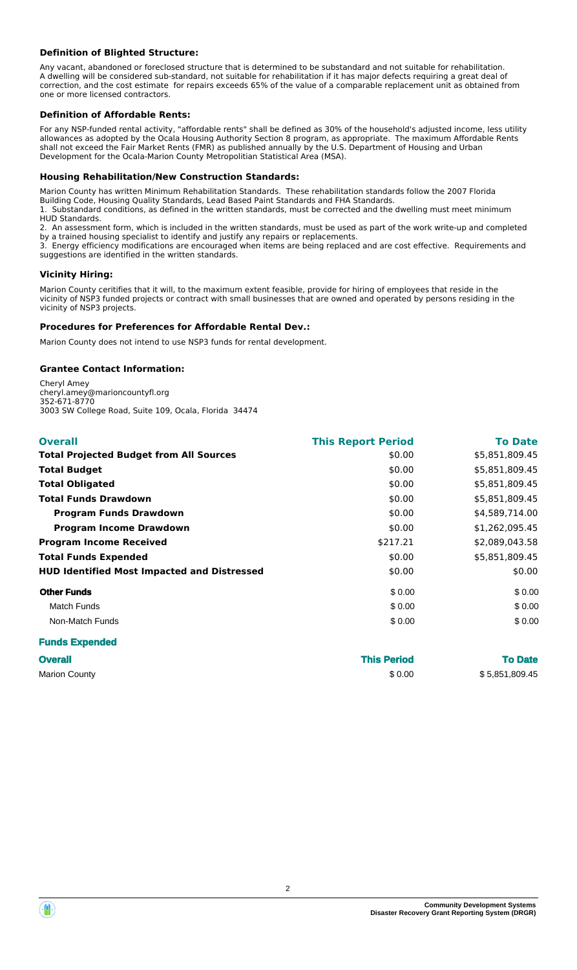#### **Definition of Blighted Structure:**

Any vacant, abandoned or foreclosed structure that is determined to be substandard and not suitable for rehabilitation. A dwelling will be considered sub-standard, not suitable for rehabilitation if it has major defects requiring a great deal of correction, and the cost estimate for repairs exceeds 65% of the value of a comparable replacement unit as obtained from one or more licensed contractors.

#### **Definition of Affordable Rents:**

For any NSP-funded rental activity, "affordable rents" shall be defined as 30% of the household's adjusted income, less utility allowances as adopted by the Ocala Housing Authority Section 8 program, as appropriate. The maximum Affordable Rents shall not exceed the Fair Market Rents (FMR) as published annually by the U.S. Department of Housing and Urban Development for the Ocala-Marion County Metropolitian Statistical Area (MSA).

#### **Housing Rehabilitation/New Construction Standards:**

Marion County has written Minimum Rehabilitation Standards. These rehabilitation standards follow the 2007 Florida

Building Code, Housing Quality Standards, Lead Based Paint Standards and FHA Standards. 1. Substandard conditions, as defined in the written standards, must be corrected and the dwelling must meet minimum HUD Standards.

2. An assessment form, which is included in the written standards, must be used as part of the work write-up and completed by a trained housing specialist to identify and justify any repairs or replacements.

3. Energy efficiency modifications are encouraged when items are being replaced and are cost effective. Requirements and suggestions are identified in the written standards.

#### **Vicinity Hiring:**

Marion County ceritifies that it will, to the maximum extent feasible, provide for hiring of employees that reside in the vicinity of NSP3 funded projects or contract with small businesses that are owned and operated by persons residing in the vicinity of NSP3 projects.

#### **Procedures for Preferences for Affordable Rental Dev.:**

Marion County does not intend to use NSP3 funds for rental development.

#### **Grantee Contact Information:**

Cheryl Amey cheryl.amey@marioncountyfl.org 352-671-8770 3003 SW College Road, Suite 109, Ocala, Florida 34474

| <b>Overall</b>                                     | <b>This Report Period</b> | <b>To Date</b> |
|----------------------------------------------------|---------------------------|----------------|
| <b>Total Projected Budget from All Sources</b>     | \$0.00                    | \$5,851,809.45 |
| <b>Total Budget</b>                                | \$0.00                    | \$5,851,809.45 |
| <b>Total Obligated</b>                             | \$0.00                    | \$5,851,809.45 |
| <b>Total Funds Drawdown</b>                        | \$0.00                    | \$5,851,809.45 |
| <b>Program Funds Drawdown</b>                      | \$0.00                    | \$4,589,714.00 |
| <b>Program Income Drawdown</b>                     | \$0.00                    | \$1,262,095.45 |
| <b>Program Income Received</b>                     | \$217.21                  | \$2,089,043.58 |
| <b>Total Funds Expended</b>                        | \$0.00                    | \$5,851,809.45 |
| <b>HUD Identified Most Impacted and Distressed</b> | \$0.00                    | \$0.00         |
| <b>Other Funds</b>                                 | \$0.00                    | \$0.00         |
| Match Funds                                        | \$0.00                    | \$0.00         |
| Non-Match Funds                                    | \$0.00                    | \$0.00         |
| _________                                          |                           |                |

#### **Funds Expended**

| <b>Overall</b> | <b>This Period</b> | <b>To Date</b> |
|----------------|--------------------|----------------|
| Marion County  | \$0.00             | \$5,851,809.45 |

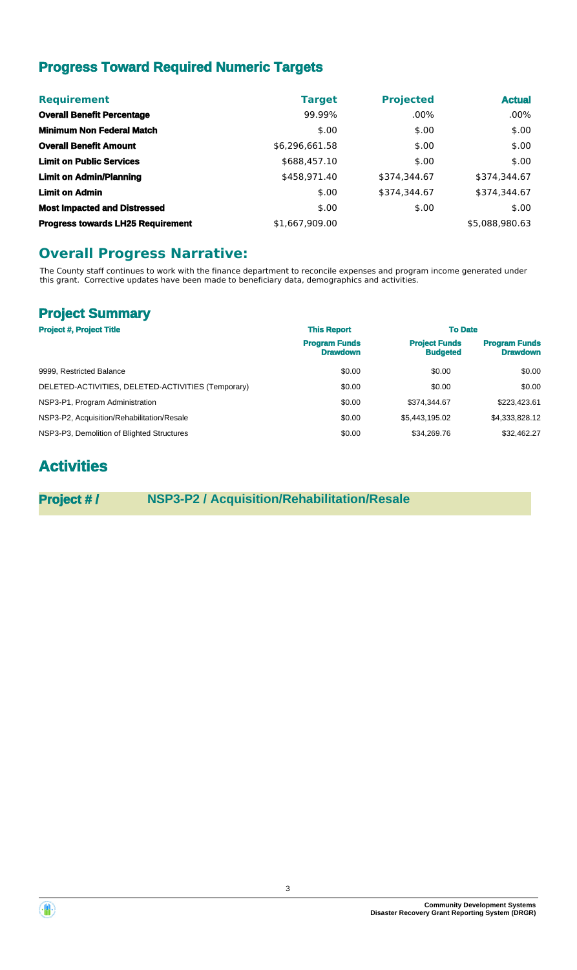# **Progress Toward Required Numeric Targets**

| <b>Requirement</b>                       | <b>Target</b>  | <b>Projected</b> | <b>Actual</b>  |
|------------------------------------------|----------------|------------------|----------------|
| <b>Overall Benefit Percentage</b>        | 99.99%         | $.00\%$          | $.00\%$        |
| <b>Minimum Non Federal Match</b>         | \$.00          | \$.00            | \$.00          |
| <b>Overall Benefit Amount</b>            | \$6,296,661.58 | \$.00            | \$.00          |
| <b>Limit on Public Services</b>          | \$688,457.10   | \$.00            | \$.00          |
| <b>Limit on Admin/Planning</b>           | \$458,971.40   | \$374,344.67     | \$374,344.67   |
| <b>Limit on Admin</b>                    | \$.00          | \$374,344.67     | \$374,344.67   |
| <b>Most Impacted and Distressed</b>      | \$.00          | \$.00            | \$.00          |
| <b>Progress towards LH25 Requirement</b> | \$1,667,909.00 |                  | \$5,088,980.63 |

# **Overall Progress Narrative:**

The County staff continues to work with the finance department to reconcile expenses and program income generated under this grant. Corrective updates have been made to beneficiary data, demographics and activities.

# **Project Summary**

| <b>Project #, Project Title</b>                    | <b>This Report</b>                      | <b>To Date</b>                          |                                         |
|----------------------------------------------------|-----------------------------------------|-----------------------------------------|-----------------------------------------|
|                                                    | <b>Program Funds</b><br><b>Drawdown</b> | <b>Project Funds</b><br><b>Budgeted</b> | <b>Program Funds</b><br><b>Drawdown</b> |
| 9999, Restricted Balance                           | \$0.00                                  | \$0.00                                  | \$0.00                                  |
| DELETED-ACTIVITIES, DELETED-ACTIVITIES (Temporary) | \$0.00                                  | \$0.00                                  | \$0.00                                  |
| NSP3-P1, Program Administration                    | \$0.00                                  | \$374,344.67                            | \$223,423.61                            |
| NSP3-P2, Acquisition/Rehabilitation/Resale         | \$0.00                                  | \$5.443.195.02                          | \$4,333,828.12                          |
| NSP3-P3, Demolition of Blighted Structures         | \$0.00                                  | \$34.269.76                             | \$32,462.27                             |

# **Activities**

**Project # / NSP3-P2 / Acquisition/Rehabilitation/Resale**



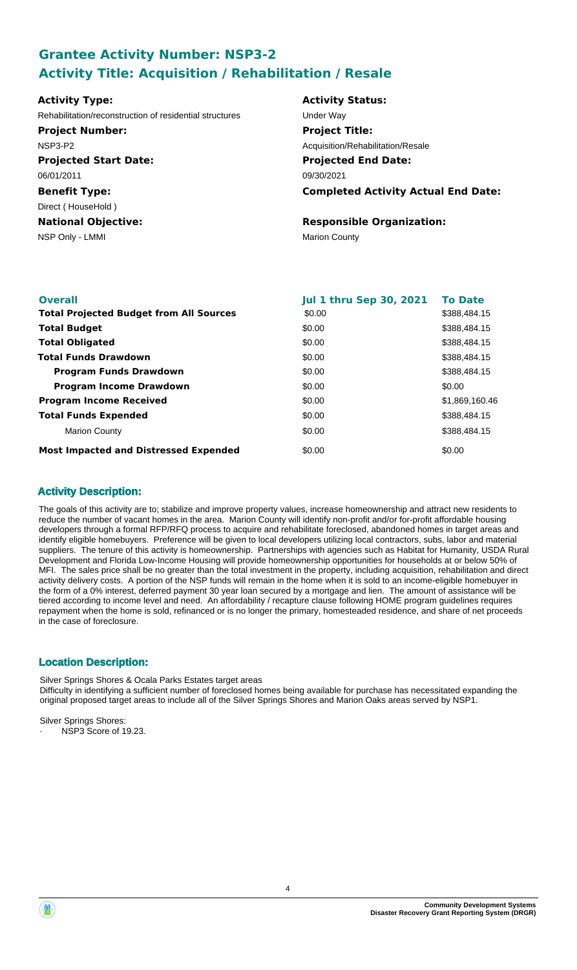# **Grantee Activity Number: NSP3-2 Activity Title: Acquisition / Rehabilitation / Resale**

| Rehabilitation/reconstruction of residential structures | Under Way                                  |
|---------------------------------------------------------|--------------------------------------------|
|                                                         |                                            |
| <b>Project Number:</b>                                  | <b>Project Title:</b>                      |
| NSP3-P2                                                 | Acquisition/Rehabilitation/Resale          |
| <b>Projected Start Date:</b>                            | <b>Projected End Date:</b>                 |
| 06/01/2011                                              | 09/30/2021                                 |
| <b>Benefit Type:</b>                                    | <b>Completed Activity Actual End Date:</b> |
| Direct (HouseHold)                                      |                                            |
| <b>National Objective:</b>                              | <b>Responsible Organization:</b>           |
| NSP Only - LMMI                                         | <b>Marion County</b>                       |

| <b>Overall</b>                                 | <b>Jul 1 thru Sep 30, 2021</b> | <b>To Date</b> |
|------------------------------------------------|--------------------------------|----------------|
| <b>Total Projected Budget from All Sources</b> | \$0.00                         | \$388,484.15   |
| <b>Total Budget</b>                            | \$0.00                         | \$388,484.15   |
| <b>Total Obligated</b>                         | \$0.00                         | \$388,484.15   |
| <b>Total Funds Drawdown</b>                    | \$0.00                         | \$388,484.15   |
| <b>Program Funds Drawdown</b>                  | \$0.00                         | \$388,484.15   |
| <b>Program Income Drawdown</b>                 | \$0.00                         | \$0.00         |
| <b>Program Income Received</b>                 | \$0.00                         | \$1,869,160.46 |
| <b>Total Funds Expended</b>                    | \$0.00                         | \$388,484.15   |
| <b>Marion County</b>                           | \$0.00                         | \$388,484.15   |
| <b>Most Impacted and Distressed Expended</b>   | \$0.00                         | \$0.00         |

## **Activity Description:**

The goals of this activity are to; stabilize and improve property values, increase homeownership and attract new residents to reduce the number of vacant homes in the area. Marion County will identify non-profit and/or for-profit affordable housing developers through a formal RFP/RFQ process to acquire and rehabilitate foreclosed, abandoned homes in target areas and identify eligible homebuyers. Preference will be given to local developers utilizing local contractors, subs, labor and material suppliers. The tenure of this activity is homeownership. Partnerships with agencies such as Habitat for Humanity, USDA Rural Development and Florida Low-Income Housing will provide homeownership opportunities for households at or below 50% of MFI. The sales price shall be no greater than the total investment in the property, including acquisition, rehabilitation and direct activity delivery costs. A portion of the NSP funds will remain in the home when it is sold to an income-eligible homebuyer in the form of a 0% interest, deferred payment 30 year loan secured by a mortgage and lien. The amount of assistance will be tiered according to income level and need. An affordability / recapture clause following HOME program guidelines requires repayment when the home is sold, refinanced or is no longer the primary, homesteaded residence, and share of net proceeds in the case of foreclosure.

## **Location Description:**

Silver Springs Shores & Ocala Parks Estates target areas Difficulty in identifying a sufficient number of foreclosed homes being available for purchase has necessitated expanding the original proposed target areas to include all of the Silver Springs Shores and Marion Oaks areas served by NSP1.

Silver Springs Shores:

NSP3 Score of 19.23.

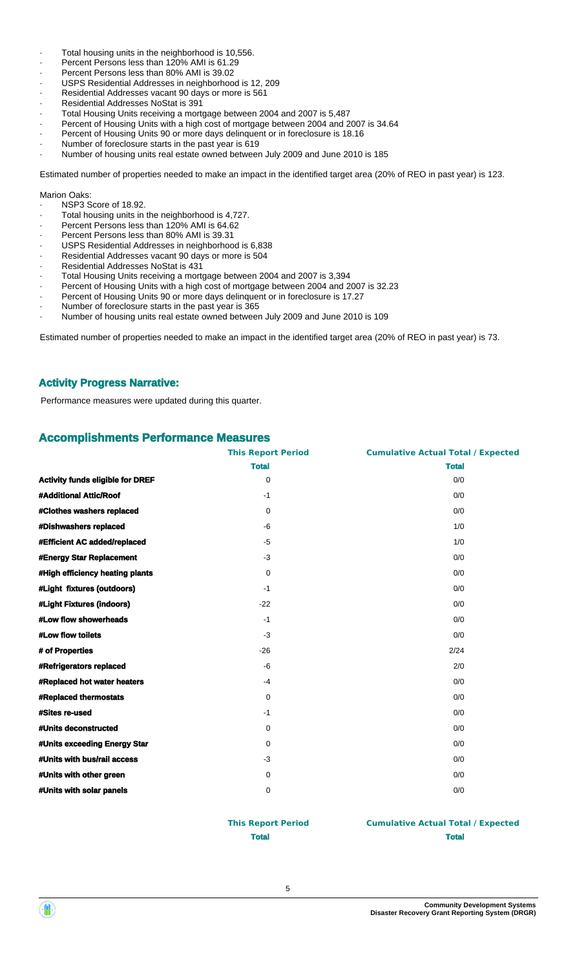- · Total housing units in the neighborhood is 10,556.
- · Percent Persons less than 120% AMI is 61.29
- · Percent Persons less than 80% AMI is 39.02
- USPS Residential Addresses in neighborhood is 12, 209
- Residential Addresses vacant 90 days or more is 561
- Residential Addresses NoStat is 391
- · Total Housing Units receiving a mortgage between 2004 and 2007 is 5,487
- Percent of Housing Units with a high cost of mortgage between 2004 and 2007 is 34.64
- Percent of Housing Units 90 or more days delinquent or in foreclosure is 18.16
- Number of foreclosure starts in the past year is 619
- · Number of housing units real estate owned between July 2009 and June 2010 is 185

Estimated number of properties needed to make an impact in the identified target area (20% of REO in past year) is 123.

#### Marion Oaks:

- · NSP3 Score of 18.92.
- Total housing units in the neighborhood is 4,727.
- Percent Persons less than 120% AMI is 64.62
- Percent Persons less than 80% AMI is 39.31
- USPS Residential Addresses in neighborhood is 6,838
- · Residential Addresses vacant 90 days or more is 504
- · Residential Addresses NoStat is 431
- · Total Housing Units receiving a mortgage between 2004 and 2007 is 3,394
- Percent of Housing Units with a high cost of mortgage between 2004 and 2007 is 32.23
- Percent of Housing Units 90 or more days delinquent or in foreclosure is 17.27
- Number of foreclosure starts in the past year is 365
- · Number of housing units real estate owned between July 2009 and June 2010 is 109

Estimated number of properties needed to make an impact in the identified target area (20% of REO in past year) is 73.

#### **Activity Progress Narrative:**

Performance measures were updated during this quarter.

#### **Accomplishments Performance Measures**

|                                         | <b>This Report Period</b> | <b>Cumulative Actual Total / Expected</b> |
|-----------------------------------------|---------------------------|-------------------------------------------|
|                                         | <b>Total</b>              | <b>Total</b>                              |
| <b>Activity funds eligible for DREF</b> | 0                         | 0/0                                       |
| #Additional Attic/Roof                  | $-1$                      | 0/0                                       |
| #Clothes washers replaced               | $\Omega$                  | 0/0                                       |
| #Dishwashers replaced                   | -6                        | 1/0                                       |
| #Efficient AC added/replaced            | $-5$                      | 1/0                                       |
| #Energy Star Replacement                | $-3$                      | 0/0                                       |
| #High efficiency heating plants         | $\mathbf 0$               | 0/0                                       |
| #Light fixtures (outdoors)              | $-1$                      | 0/0                                       |
| #Light Fixtures (indoors)               | $-22$                     | 0/0                                       |
| #Low flow showerheads                   | $-1$                      | 0/0                                       |
| #Low flow toilets                       | $-3$                      | 0/0                                       |
| # of Properties                         | $-26$                     | 2/24                                      |
| <b>#Refrigerators replaced</b>          | -6                        | 2/0                                       |
| #Replaced hot water heaters             | $-4$                      | 0/0                                       |
| #Replaced thermostats                   | $\Omega$                  | 0/0                                       |
| #Sites re-used                          | $-1$                      | 0/0                                       |
| #Units deconstructed                    | 0                         | 0/0                                       |
| #Units exceeding Energy Star            | 0                         | 0/0                                       |
| #Units with bus/rail access             | $-3$                      | 0/0                                       |
| #Units with other green                 | 0                         | 0/0                                       |
| #Units with solar panels                | 0                         | 0/0                                       |

#### **This Report Period Cumulative Actual Total / Expected Total Total**

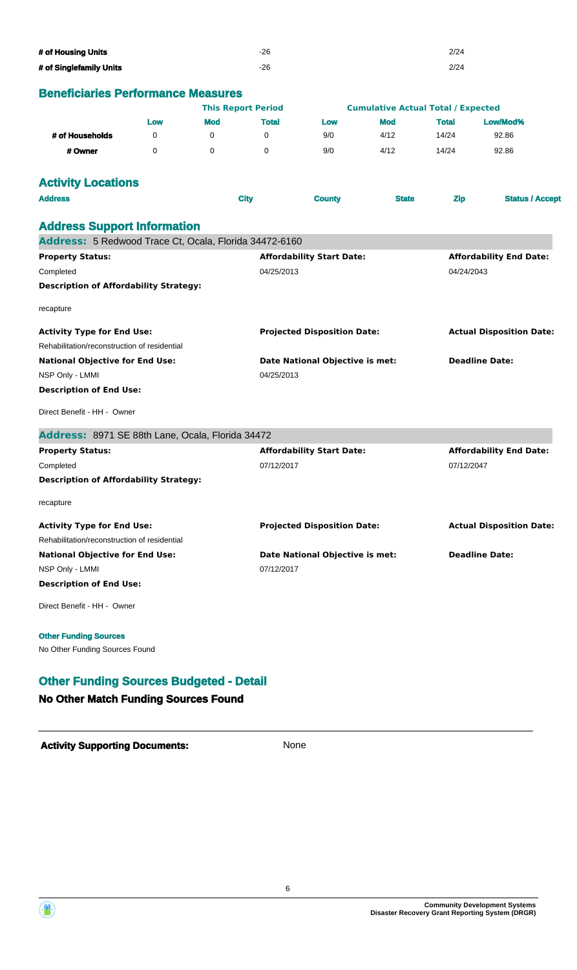| # of Housing Units      | -26 | 2/24 |
|-------------------------|-----|------|
| # of Singlefamily Units | -26 | 2/24 |

# **Beneficiaries Performance Measures**

| <u>Chentianes i chomiante measures</u>                 |          |            | <b>This Report Period</b> |                                        | <b>Cumulative Actual Total / Expected</b> |              |                                 |  |
|--------------------------------------------------------|----------|------------|---------------------------|----------------------------------------|-------------------------------------------|--------------|---------------------------------|--|
|                                                        | Low      | <b>Mod</b> | <b>Total</b>              | Low                                    | <b>Mod</b>                                | <b>Total</b> | Low/Mod%                        |  |
| # of Households                                        | 0        | 0          | 0                         | 9/0                                    | 4/12                                      | 14/24        | 92.86                           |  |
| # Owner                                                | $\Omega$ | $\Omega$   | $\mathbf 0$               | 9/0                                    | 4/12                                      | 14/24        | 92.86                           |  |
| <b>Activity Locations</b>                              |          |            |                           |                                        |                                           |              |                                 |  |
| <b>Address</b>                                         |          |            | <b>City</b>               | <b>County</b>                          | <b>State</b>                              | <b>Zip</b>   | <b>Status / Accept</b>          |  |
| <b>Address Support Information</b>                     |          |            |                           |                                        |                                           |              |                                 |  |
| Address: 5 Redwood Trace Ct, Ocala, Florida 34472-6160 |          |            |                           |                                        |                                           |              |                                 |  |
| <b>Property Status:</b>                                |          |            |                           | <b>Affordability Start Date:</b>       |                                           |              | <b>Affordability End Date:</b>  |  |
| Completed                                              |          |            | 04/25/2013                |                                        |                                           | 04/24/2043   |                                 |  |
| <b>Description of Affordability Strategy:</b>          |          |            |                           |                                        |                                           |              |                                 |  |
| recapture                                              |          |            |                           |                                        |                                           |              |                                 |  |
| <b>Activity Type for End Use:</b>                      |          |            |                           | <b>Projected Disposition Date:</b>     |                                           |              | <b>Actual Disposition Date:</b> |  |
| Rehabilitation/reconstruction of residential           |          |            |                           |                                        |                                           |              |                                 |  |
| <b>National Objective for End Use:</b>                 |          |            |                           | Date National Objective is met:        |                                           |              | <b>Deadline Date:</b>           |  |
| NSP Only - LMMI                                        |          |            |                           | 04/25/2013                             |                                           |              |                                 |  |
| <b>Description of End Use:</b>                         |          |            |                           |                                        |                                           |              |                                 |  |
| Direct Benefit - HH - Owner                            |          |            |                           |                                        |                                           |              |                                 |  |
| Address: 8971 SE 88th Lane, Ocala, Florida 34472       |          |            |                           |                                        |                                           |              |                                 |  |
| <b>Property Status:</b>                                |          |            |                           | <b>Affordability Start Date:</b>       |                                           |              | <b>Affordability End Date:</b>  |  |
| Completed                                              |          |            | 07/12/2017                |                                        |                                           | 07/12/2047   |                                 |  |
| <b>Description of Affordability Strategy:</b>          |          |            |                           |                                        |                                           |              |                                 |  |
| recapture                                              |          |            |                           |                                        |                                           |              |                                 |  |
| <b>Activity Type for End Use:</b>                      |          |            |                           | <b>Projected Disposition Date:</b>     |                                           |              | <b>Actual Disposition Date:</b> |  |
| Rehabilitation/reconstruction of residential           |          |            |                           |                                        |                                           |              |                                 |  |
| <b>National Objective for End Use:</b>                 |          |            |                           | <b>Date National Objective is met:</b> |                                           |              | <b>Deadline Date:</b>           |  |
| NSP Only - LMMI                                        |          |            | 07/12/2017                |                                        |                                           |              |                                 |  |
| <b>Description of End Use:</b>                         |          |            |                           |                                        |                                           |              |                                 |  |
| Direct Benefit - HH - Owner                            |          |            |                           |                                        |                                           |              |                                 |  |
|                                                        |          |            |                           |                                        |                                           |              |                                 |  |

#### **Other Funding Sources**

No Other Funding Sources Found

## **Other Funding Sources Budgeted - Detail**

#### **No Other Match Funding Sources Found**



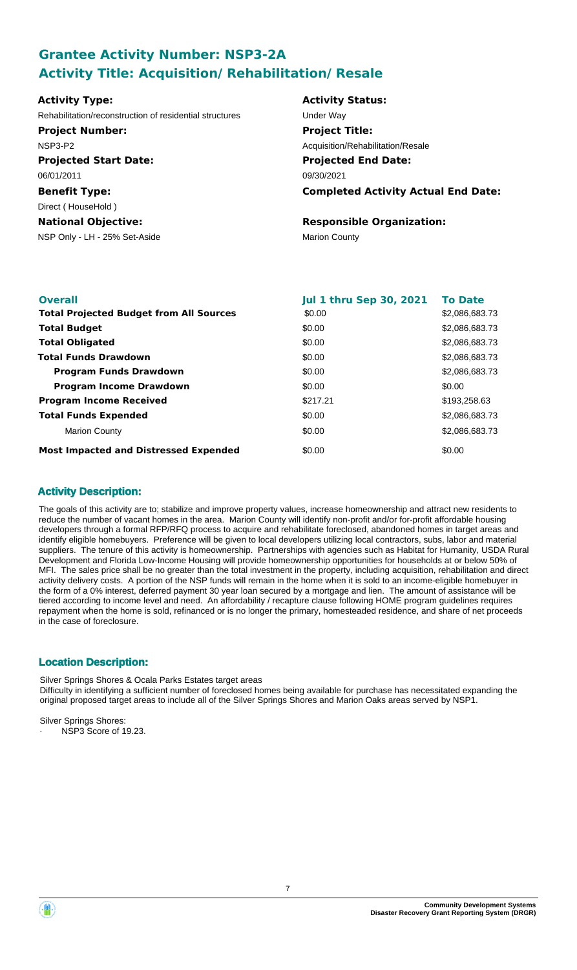# **Grantee Activity Number: NSP3-2A Activity Title: Acquisition/ Rehabilitation/ Resale**

| <b>Activity Type:</b>                                   | <b>Activity Status:</b>                    |
|---------------------------------------------------------|--------------------------------------------|
| Rehabilitation/reconstruction of residential structures | Under Way                                  |
| <b>Project Number:</b>                                  | <b>Project Title:</b>                      |
| NSP3-P2                                                 | Acquisition/Rehabilitation/Resale          |
| <b>Projected Start Date:</b>                            | <b>Projected End Date:</b>                 |
| 06/01/2011                                              | 09/30/2021                                 |
| <b>Benefit Type:</b>                                    | <b>Completed Activity Actual End Date:</b> |
| Direct (HouseHold)                                      |                                            |
| <b>National Objective:</b>                              | <b>Responsible Organization:</b>           |
| NSP Only - LH - 25% Set-Aside                           | <b>Marion County</b>                       |
|                                                         |                                            |
|                                                         |                                            |

| <b>Overall</b>                                 | <b>Jul 1 thru Sep 30, 2021</b> | <b>To Date</b> |
|------------------------------------------------|--------------------------------|----------------|
| <b>Total Projected Budget from All Sources</b> | \$0.00                         | \$2,086,683.73 |
| <b>Total Budget</b>                            | \$0.00                         | \$2,086,683.73 |
| <b>Total Obligated</b>                         | \$0.00                         | \$2,086,683.73 |
| <b>Total Funds Drawdown</b>                    | \$0.00                         | \$2,086,683.73 |
| <b>Program Funds Drawdown</b>                  | \$0.00                         | \$2,086,683,73 |
| <b>Program Income Drawdown</b>                 | \$0.00                         | \$0.00         |
| <b>Program Income Received</b>                 | \$217.21                       | \$193,258.63   |
| <b>Total Funds Expended</b>                    | \$0.00                         | \$2,086,683.73 |
| <b>Marion County</b>                           | \$0.00                         | \$2,086,683.73 |
| <b>Most Impacted and Distressed Expended</b>   | \$0.00                         | \$0.00         |

## **Activity Description:**

The goals of this activity are to; stabilize and improve property values, increase homeownership and attract new residents to reduce the number of vacant homes in the area. Marion County will identify non-profit and/or for-profit affordable housing developers through a formal RFP/RFQ process to acquire and rehabilitate foreclosed, abandoned homes in target areas and identify eligible homebuyers. Preference will be given to local developers utilizing local contractors, subs, labor and material suppliers. The tenure of this activity is homeownership. Partnerships with agencies such as Habitat for Humanity, USDA Rural Development and Florida Low-Income Housing will provide homeownership opportunities for households at or below 50% of MFI. The sales price shall be no greater than the total investment in the property, including acquisition, rehabilitation and direct activity delivery costs. A portion of the NSP funds will remain in the home when it is sold to an income-eligible homebuyer in the form of a 0% interest, deferred payment 30 year loan secured by a mortgage and lien. The amount of assistance will be tiered according to income level and need. An affordability / recapture clause following HOME program guidelines requires repayment when the home is sold, refinanced or is no longer the primary, homesteaded residence, and share of net proceeds in the case of foreclosure.

## **Location Description:**

Silver Springs Shores & Ocala Parks Estates target areas Difficulty in identifying a sufficient number of foreclosed homes being available for purchase has necessitated expanding the original proposed target areas to include all of the Silver Springs Shores and Marion Oaks areas served by NSP1.

Silver Springs Shores:

NSP3 Score of 19.23.



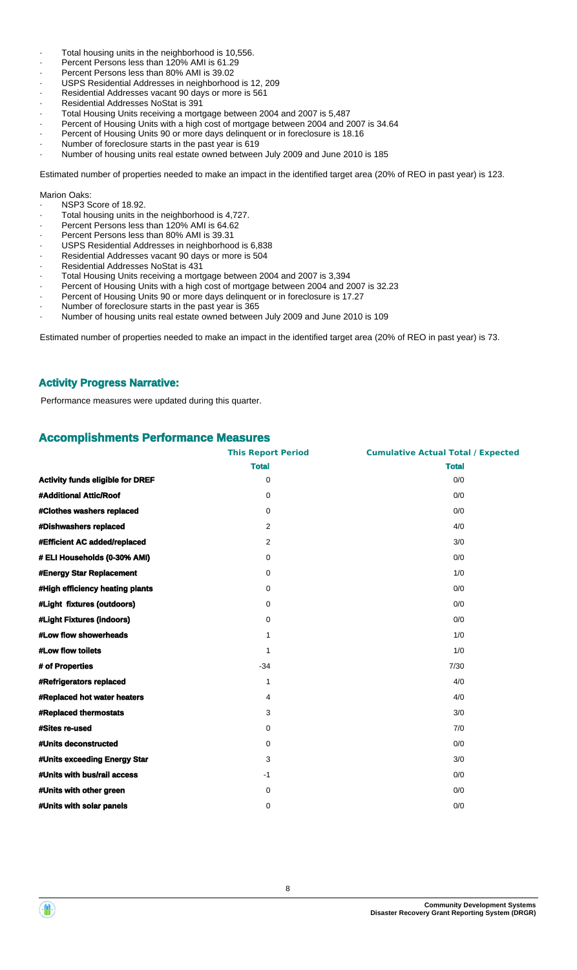- Total housing units in the neighborhood is 10,556.
- Percent Persons less than 120% AMI is 61.29
- · Percent Persons less than 80% AMI is 39.02
- USPS Residential Addresses in neighborhood is 12, 209
- Residential Addresses vacant 90 days or more is 561
- Residential Addresses NoStat is 391
- · Total Housing Units receiving a mortgage between 2004 and 2007 is 5,487
- Percent of Housing Units with a high cost of mortgage between 2004 and 2007 is 34.64
- Percent of Housing Units 90 or more days delinquent or in foreclosure is 18.16
- Number of foreclosure starts in the past year is 619
- · Number of housing units real estate owned between July 2009 and June 2010 is 185

Estimated number of properties needed to make an impact in the identified target area (20% of REO in past year) is 123.

#### Marion Oaks:

- · NSP3 Score of 18.92.
- Total housing units in the neighborhood is 4,727.
- Percent Persons less than 120% AMI is 64.62
- Percent Persons less than 80% AMI is 39.31
- USPS Residential Addresses in neighborhood is 6,838
- Residential Addresses vacant 90 days or more is 504
- · Residential Addresses NoStat is 431
- · Total Housing Units receiving a mortgage between 2004 and 2007 is 3,394
- Percent of Housing Units with a high cost of mortgage between 2004 and 2007 is 32.23
- Percent of Housing Units 90 or more days delinquent or in foreclosure is 17.27
- Number of foreclosure starts in the past year is 365
- · Number of housing units real estate owned between July 2009 and June 2010 is 109

Estimated number of properties needed to make an impact in the identified target area (20% of REO in past year) is 73.

#### **Activity Progress Narrative:**

Performance measures were updated during this quarter.

#### **Accomplishments Performance Measures**

|                                         | <b>This Report Period</b> | <b>Cumulative Actual Total / Expected</b> |
|-----------------------------------------|---------------------------|-------------------------------------------|
|                                         | <b>Total</b>              | <b>Total</b>                              |
| <b>Activity funds eligible for DREF</b> | 0                         | 0/0                                       |
| #Additional Attic/Roof                  | 0                         | 0/0                                       |
| #Clothes washers replaced               | 0                         | 0/0                                       |
| #Dishwashers replaced                   | $\overline{2}$            | 4/0                                       |
| #Efficient AC added/replaced            | $\overline{2}$            | 3/0                                       |
| # ELI Households (0-30% AMI)            | 0                         | 0/0                                       |
| #Energy Star Replacement                | 0                         | 1/0                                       |
| #High efficiency heating plants         | 0                         | 0/0                                       |
| #Light fixtures (outdoors)              | 0                         | 0/0                                       |
| #Light Fixtures (indoors)               | 0                         | 0/0                                       |
| #Low flow showerheads                   | $\mathbf{1}$              | 1/0                                       |
| #Low flow toilets                       | $\mathbf{1}$              | 1/0                                       |
| # of Properties                         | $-34$                     | 7/30                                      |
| #Refrigerators replaced                 | 1                         | 4/0                                       |
| #Replaced hot water heaters             | 4                         | 4/0                                       |
| #Replaced thermostats                   | 3                         | 3/0                                       |
| <b>#Sites re-used</b>                   | 0                         | 7/0                                       |
| #Units deconstructed                    | 0                         | 0/0                                       |
| #Units exceeding Energy Star            | 3                         | 3/0                                       |
| #Units with bus/rail access             | $-1$                      | 0/0                                       |
| #Units with other green                 | 0                         | 0/0                                       |
| #Units with solar panels                | 0                         | 0/0                                       |



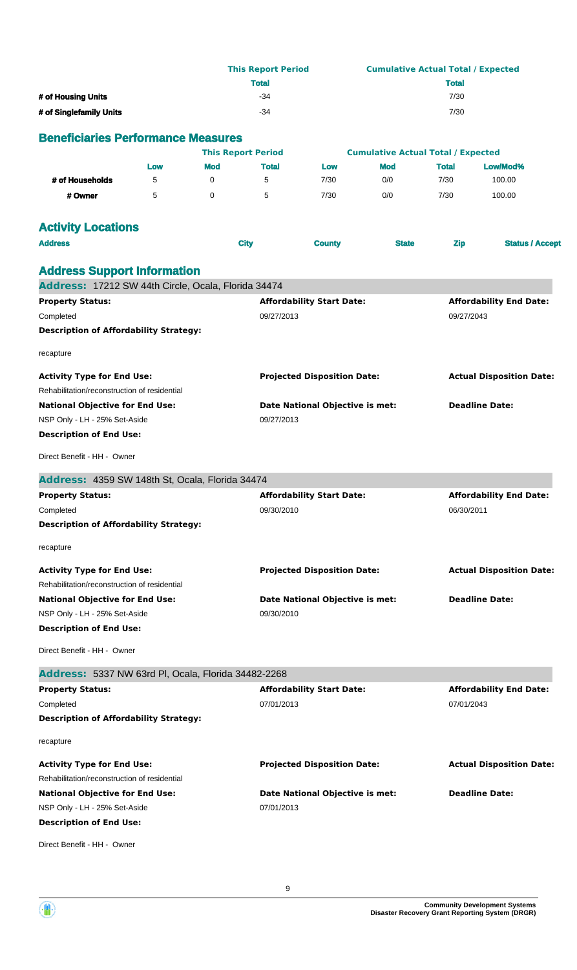|                                                                         |     |            | <b>This Report Period</b><br><b>Total</b>      |                                                          |                                           | <b>Total</b>                    | <b>Cumulative Actual Total / Expected</b> |  |
|-------------------------------------------------------------------------|-----|------------|------------------------------------------------|----------------------------------------------------------|-------------------------------------------|---------------------------------|-------------------------------------------|--|
| # of Housing Units                                                      |     |            | $-34$                                          |                                                          |                                           | 7/30                            |                                           |  |
| # of Singlefamily Units                                                 |     |            | $-34$                                          |                                                          |                                           | 7/30                            |                                           |  |
|                                                                         |     |            |                                                |                                                          |                                           |                                 |                                           |  |
| <b>Beneficiaries Performance Measures</b>                               |     |            |                                                |                                                          |                                           |                                 |                                           |  |
|                                                                         |     |            | <b>This Report Period</b>                      |                                                          | <b>Cumulative Actual Total / Expected</b> |                                 |                                           |  |
|                                                                         | Low | <b>Mod</b> | <b>Total</b>                                   | Low                                                      | <b>Mod</b>                                | <b>Total</b>                    | Low/Mod%                                  |  |
| # of Households                                                         | 5   | 0          | 5                                              | 7/30                                                     | 0/0                                       | 7/30                            | 100.00                                    |  |
| # Owner                                                                 | 5   | $\Omega$   | 5                                              | 7/30                                                     | 0/0                                       | 7/30                            | 100.00                                    |  |
| <b>Activity Locations</b>                                               |     |            |                                                |                                                          |                                           |                                 |                                           |  |
| <b>Address</b>                                                          |     |            | <b>City</b>                                    | <b>County</b>                                            | <b>State</b>                              | <b>Zip</b>                      | <b>Status / Accept</b>                    |  |
|                                                                         |     |            |                                                |                                                          |                                           |                                 |                                           |  |
| <b>Address Support Information</b>                                      |     |            |                                                |                                                          |                                           |                                 |                                           |  |
| Address: 17212 SW 44th Circle, Ocala, Florida 34474                     |     |            |                                                |                                                          |                                           |                                 |                                           |  |
| <b>Property Status:</b>                                                 |     |            |                                                | <b>Affordability Start Date:</b>                         |                                           |                                 | <b>Affordability End Date:</b>            |  |
| Completed                                                               |     |            | 09/27/2013                                     |                                                          |                                           | 09/27/2043                      |                                           |  |
| <b>Description of Affordability Strategy:</b>                           |     |            |                                                |                                                          |                                           |                                 |                                           |  |
| recapture                                                               |     |            |                                                |                                                          |                                           |                                 |                                           |  |
|                                                                         |     |            |                                                |                                                          |                                           |                                 |                                           |  |
| <b>Activity Type for End Use:</b>                                       |     |            |                                                | <b>Projected Disposition Date:</b>                       |                                           |                                 | <b>Actual Disposition Date:</b>           |  |
| Rehabilitation/reconstruction of residential                            |     |            |                                                |                                                          |                                           |                                 |                                           |  |
| <b>National Objective for End Use:</b><br>NSP Only - LH - 25% Set-Aside |     |            | 09/27/2013                                     | Date National Objective is met:<br><b>Deadline Date:</b> |                                           |                                 |                                           |  |
| <b>Description of End Use:</b>                                          |     |            |                                                |                                                          |                                           |                                 |                                           |  |
|                                                                         |     |            |                                                |                                                          |                                           |                                 |                                           |  |
| Direct Benefit - HH - Owner                                             |     |            |                                                |                                                          |                                           |                                 |                                           |  |
| Address: 4359 SW 148th St, Ocala, Florida 34474                         |     |            |                                                |                                                          |                                           |                                 |                                           |  |
| <b>Property Status:</b>                                                 |     |            |                                                | <b>Affordability Start Date:</b>                         |                                           |                                 | <b>Affordability End Date:</b>            |  |
| Completed                                                               |     |            |                                                | 09/30/2010                                               |                                           |                                 | 06/30/2011                                |  |
| <b>Description of Affordability Strategy:</b>                           |     |            |                                                |                                                          |                                           |                                 |                                           |  |
| recapture                                                               |     |            |                                                |                                                          |                                           |                                 |                                           |  |
| <b>Activity Type for End Use:</b>                                       |     |            |                                                | <b>Projected Disposition Date:</b>                       |                                           |                                 | <b>Actual Disposition Date:</b>           |  |
| Rehabilitation/reconstruction of residential                            |     |            |                                                |                                                          |                                           |                                 |                                           |  |
| <b>National Objective for End Use:</b>                                  |     |            |                                                |                                                          |                                           |                                 | <b>Deadline Date:</b>                     |  |
| NSP Only - LH - 25% Set-Aside                                           |     |            |                                                | Date National Objective is met:<br>09/30/2010            |                                           |                                 |                                           |  |
| <b>Description of End Use:</b>                                          |     |            |                                                |                                                          |                                           |                                 |                                           |  |
| Direct Benefit - HH - Owner                                             |     |            |                                                |                                                          |                                           |                                 |                                           |  |
|                                                                         |     |            |                                                |                                                          |                                           |                                 |                                           |  |
| Address: 5337 NW 63rd PI, Ocala, Florida 34482-2268                     |     |            |                                                |                                                          |                                           |                                 |                                           |  |
| <b>Property Status:</b>                                                 |     |            | <b>Affordability Start Date:</b><br>07/01/2013 |                                                          | 07/01/2043                                | <b>Affordability End Date:</b>  |                                           |  |
| Completed<br><b>Description of Affordability Strategy:</b>              |     |            |                                                |                                                          |                                           |                                 |                                           |  |
|                                                                         |     |            |                                                |                                                          |                                           |                                 |                                           |  |
| recapture                                                               |     |            |                                                |                                                          |                                           |                                 |                                           |  |
| <b>Activity Type for End Use:</b>                                       |     |            | <b>Projected Disposition Date:</b>             |                                                          |                                           | <b>Actual Disposition Date:</b> |                                           |  |
| Rehabilitation/reconstruction of residential                            |     |            |                                                |                                                          |                                           |                                 |                                           |  |
| <b>National Objective for End Use:</b>                                  |     |            |                                                | Date National Objective is met:                          |                                           |                                 | <b>Deadline Date:</b>                     |  |
| NSP Only - LH - 25% Set-Aside                                           |     |            | 07/01/2013                                     |                                                          |                                           |                                 |                                           |  |
| <b>Description of End Use:</b>                                          |     |            |                                                |                                                          |                                           |                                 |                                           |  |
| Direct Benefit - HH - Owner                                             |     |            |                                                |                                                          |                                           |                                 |                                           |  |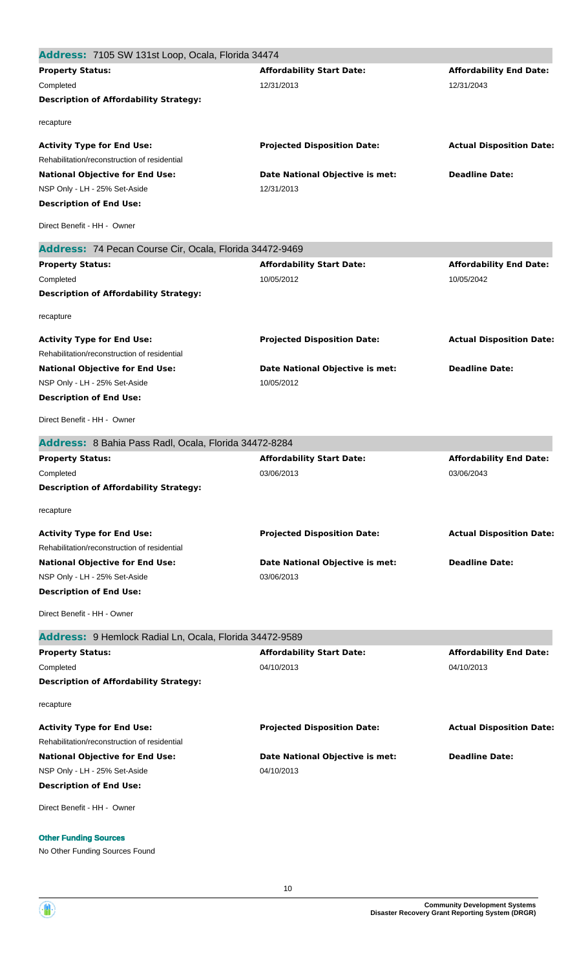| Address: 7105 SW 131st Loop, Ocala, Florida 34474       |                                    |                                 |
|---------------------------------------------------------|------------------------------------|---------------------------------|
| <b>Property Status:</b>                                 | <b>Affordability Start Date:</b>   | <b>Affordability End Date:</b>  |
| Completed                                               | 12/31/2013                         | 12/31/2043                      |
| <b>Description of Affordability Strategy:</b>           |                                    |                                 |
| recapture                                               |                                    |                                 |
| <b>Activity Type for End Use:</b>                       | <b>Projected Disposition Date:</b> | <b>Actual Disposition Date:</b> |
| Rehabilitation/reconstruction of residential            |                                    |                                 |
| <b>National Objective for End Use:</b>                  | Date National Objective is met:    | <b>Deadline Date:</b>           |
| NSP Only - LH - 25% Set-Aside                           | 12/31/2013                         |                                 |
| <b>Description of End Use:</b>                          |                                    |                                 |
| Direct Benefit - HH - Owner                             |                                    |                                 |
| Address: 74 Pecan Course Cir, Ocala, Florida 34472-9469 |                                    |                                 |
| <b>Property Status:</b>                                 | <b>Affordability Start Date:</b>   | <b>Affordability End Date:</b>  |
| Completed                                               | 10/05/2012                         | 10/05/2042                      |
| <b>Description of Affordability Strategy:</b>           |                                    |                                 |
| recapture                                               |                                    |                                 |
| <b>Activity Type for End Use:</b>                       | <b>Projected Disposition Date:</b> | <b>Actual Disposition Date:</b> |
| Rehabilitation/reconstruction of residential            |                                    |                                 |
| <b>National Objective for End Use:</b>                  | Date National Objective is met:    | <b>Deadline Date:</b>           |
| NSP Only - LH - 25% Set-Aside                           | 10/05/2012                         |                                 |
| <b>Description of End Use:</b>                          |                                    |                                 |
| Direct Benefit - HH - Owner                             |                                    |                                 |
| Address: 8 Bahia Pass Radl, Ocala, Florida 34472-8284   |                                    |                                 |
| <b>Property Status:</b>                                 | <b>Affordability Start Date:</b>   | <b>Affordability End Date:</b>  |
| Completed                                               | 03/06/2013                         | 03/06/2043                      |
| <b>Description of Affordability Strategy:</b>           |                                    |                                 |
| recapture                                               |                                    |                                 |
| <b>Activity Type for End Use:</b>                       | <b>Projected Disposition Date:</b> | <b>Actual Disposition Date:</b> |
| Rehabilitation/reconstruction of residential            |                                    |                                 |
| <b>National Objective for End Use:</b>                  | Date National Objective is met:    | <b>Deadline Date:</b>           |
| NSP Only - LH - 25% Set-Aside                           | 03/06/2013                         |                                 |
| <b>Description of End Use:</b>                          |                                    |                                 |
| Direct Benefit - HH - Owner                             |                                    |                                 |
| Address: 9 Hemlock Radial Ln, Ocala, Florida 34472-9589 |                                    |                                 |
| <b>Property Status:</b>                                 | <b>Affordability Start Date:</b>   | <b>Affordability End Date:</b>  |
| Completed                                               | 04/10/2013                         | 04/10/2013                      |
| <b>Description of Affordability Strategy:</b>           |                                    |                                 |
| recapture                                               |                                    |                                 |
| <b>Activity Type for End Use:</b>                       | <b>Projected Disposition Date:</b> | <b>Actual Disposition Date:</b> |
| Rehabilitation/reconstruction of residential            |                                    |                                 |
| <b>National Objective for End Use:</b>                  | Date National Objective is met:    | <b>Deadline Date:</b>           |
| NSP Only - LH - 25% Set-Aside                           | 04/10/2013                         |                                 |
| <b>Description of End Use:</b>                          |                                    |                                 |
| Direct Benefit - HH - Owner                             |                                    |                                 |
| <b>Other Funding Sources</b>                            |                                    |                                 |

No Other Funding Sources Found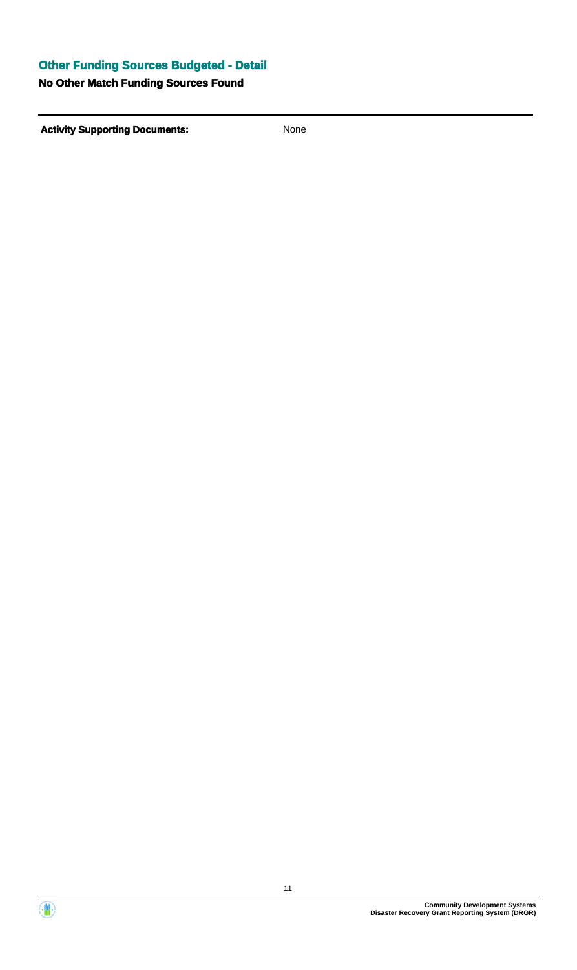# **Other Funding Sources Budgeted - Detail**

# **No Other Match Funding Sources Found**



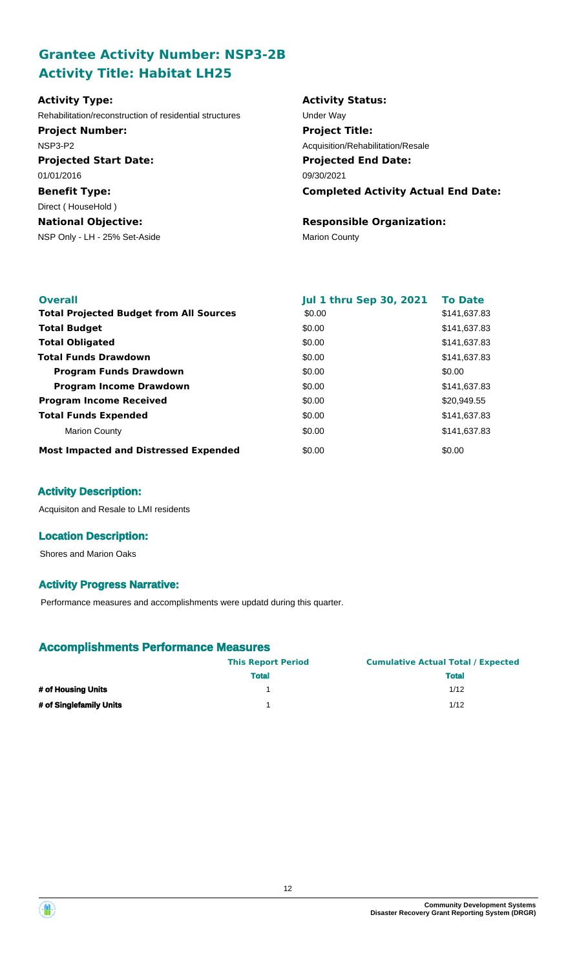# **Grantee Activity Number: NSP3-2B Activity Title: Habitat LH25**

| <b>Activity Type:</b>                                   | <b>Activity Status:</b>                    |
|---------------------------------------------------------|--------------------------------------------|
| Rehabilitation/reconstruction of residential structures | Under Way                                  |
| <b>Project Number:</b>                                  | <b>Project Title:</b>                      |
| NSP3-P2                                                 | Acquisition/Rehabilitation/Resale          |
| <b>Projected Start Date:</b>                            | <b>Projected End Date:</b>                 |
| 01/01/2016                                              | 09/30/2021                                 |
| <b>Benefit Type:</b>                                    | <b>Completed Activity Actual End Date:</b> |
| Direct (HouseHold)                                      |                                            |
| <b>National Objective:</b>                              | <b>Responsible Organization:</b>           |
| NSP Only - LH - 25% Set-Aside                           | <b>Marion County</b>                       |
|                                                         |                                            |

| <b>Overall</b>                                 | <b>Jul 1 thru Sep 30, 2021</b> | <b>To Date</b> |
|------------------------------------------------|--------------------------------|----------------|
| <b>Total Projected Budget from All Sources</b> | \$0.00                         | \$141,637.83   |
| <b>Total Budget</b>                            | \$0.00                         | \$141,637.83   |
| <b>Total Obligated</b>                         | \$0.00                         | \$141,637.83   |
| <b>Total Funds Drawdown</b>                    | \$0.00                         | \$141,637.83   |
| <b>Program Funds Drawdown</b>                  | \$0.00                         | \$0.00         |
| <b>Program Income Drawdown</b>                 | \$0.00                         | \$141,637.83   |
| <b>Program Income Received</b>                 | \$0.00                         | \$20,949.55    |
| <b>Total Funds Expended</b>                    | \$0.00                         | \$141,637.83   |
| <b>Marion County</b>                           | \$0.00                         | \$141,637.83   |
| <b>Most Impacted and Distressed Expended</b>   | \$0.00                         | \$0.00         |

## **Activity Description:**

Acquisiton and Resale to LMI residents

## **Location Description:**

Shores and Marion Oaks

## **Activity Progress Narrative:**

Performance measures and accomplishments were updatd during this quarter.

# **Accomplishments Performance Measures**

|                         | <b>This Report Period</b> | <b>Cumulative Actual Total / Expected</b> |
|-------------------------|---------------------------|-------------------------------------------|
|                         | <b>Total</b>              | <b>Total</b>                              |
| # of Housing Units      |                           | 1/12                                      |
| # of Singlefamily Units |                           | 1/12                                      |

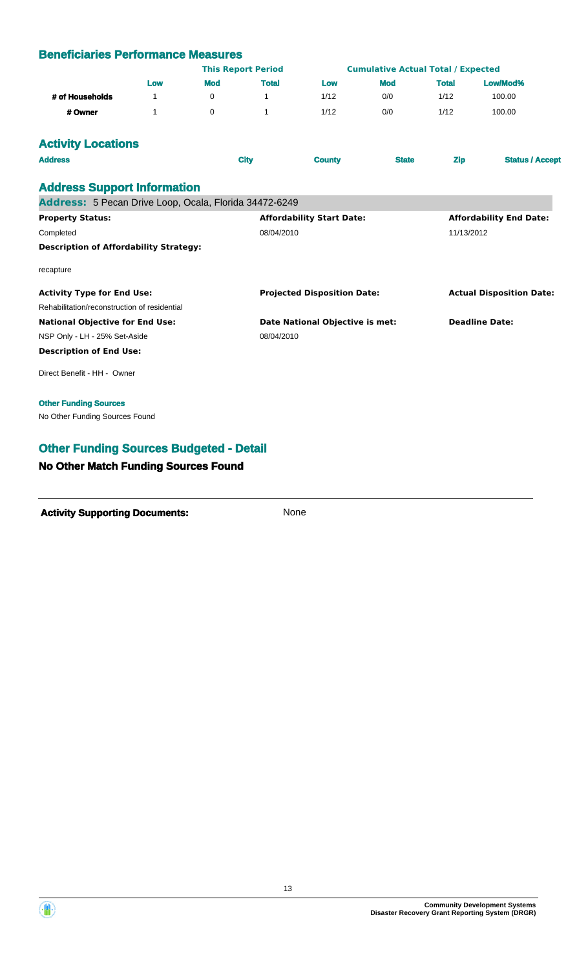## **Beneficiaries Performance Measures**

|                 | <b>This Report Period</b> |            | <b>Cumulative Actual Total / Expected</b> |      |            |              |          |  |
|-----------------|---------------------------|------------|-------------------------------------------|------|------------|--------------|----------|--|
|                 | Low                       | <b>Mod</b> | <b>Total</b>                              | Low  | <b>Mod</b> | <b>Total</b> | Low/Mod% |  |
| # of Households |                           |            |                                           | 1/12 | 0/0        | 1/12         | 100.00   |  |
| # Owner         |                           |            |                                           | 1/12 | 0/0        | 1/12         | 100.00   |  |

# **Activity Locations**

| <b>Address</b><br><b>City</b>                          | <b>County</b>                      | <b>State</b> | <b>Zip</b>            | <b>Status / Accept</b>          |
|--------------------------------------------------------|------------------------------------|--------------|-----------------------|---------------------------------|
| <b>Address Support Information</b>                     |                                    |              |                       |                                 |
| Address: 5 Pecan Drive Loop, Ocala, Florida 34472-6249 |                                    |              |                       |                                 |
| <b>Property Status:</b>                                | <b>Affordability Start Date:</b>   |              |                       | <b>Affordability End Date:</b>  |
| Completed                                              | 08/04/2010                         |              | 11/13/2012            |                                 |
| <b>Description of Affordability Strategy:</b>          |                                    |              |                       |                                 |
| recapture                                              |                                    |              |                       |                                 |
| <b>Activity Type for End Use:</b>                      | <b>Projected Disposition Date:</b> |              |                       | <b>Actual Disposition Date:</b> |
| Rehabilitation/reconstruction of residential           |                                    |              |                       |                                 |
| <b>National Objective for End Use:</b>                 | Date National Objective is met:    |              | <b>Deadline Date:</b> |                                 |
| NSP Only - LH - 25% Set-Aside                          | 08/04/2010                         |              |                       |                                 |
| <b>Description of End Use:</b>                         |                                    |              |                       |                                 |
| Direct Benefit - HH - Owner                            |                                    |              |                       |                                 |

#### **Other Funding Sources**

No Other Funding Sources Found

# **Other Funding Sources Budgeted - Detail**

#### **No Other Match Funding Sources Found**



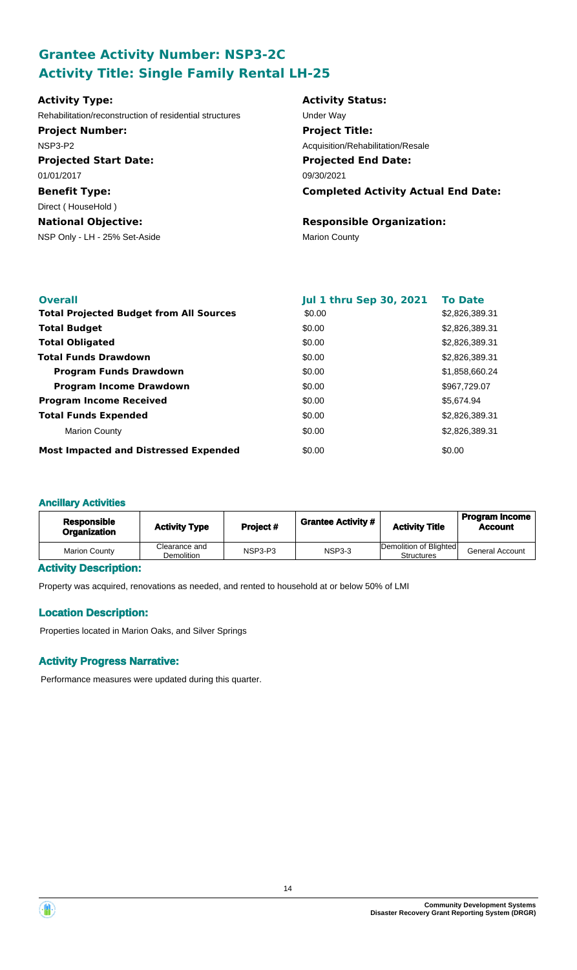# **Grantee Activity Number: NSP3-2C Activity Title: Single Family Rental LH-25**

| <b>Activity Type:</b>                                   | <b>Activity Status:</b>                    |
|---------------------------------------------------------|--------------------------------------------|
| Rehabilitation/reconstruction of residential structures | Under Way                                  |
| <b>Project Number:</b>                                  | <b>Project Title:</b>                      |
| NSP3-P2                                                 | Acquisition/Rehabilitation/Resale          |
| <b>Projected Start Date:</b>                            | <b>Projected End Date:</b>                 |
| 01/01/2017                                              | 09/30/2021                                 |
| <b>Benefit Type:</b>                                    | <b>Completed Activity Actual End Date:</b> |
| Direct (HouseHold)                                      |                                            |
| <b>National Objective:</b>                              | <b>Responsible Organization:</b>           |
| NSP Only - LH - 25% Set-Aside                           | <b>Marion County</b>                       |

| <b>Overall</b>                                 | <b>Jul 1 thru Sep 30, 2021</b> | <b>To Date</b> |
|------------------------------------------------|--------------------------------|----------------|
| <b>Total Projected Budget from All Sources</b> | \$0.00                         | \$2,826,389.31 |
| <b>Total Budget</b>                            | \$0.00                         | \$2,826,389.31 |
| <b>Total Obligated</b>                         | \$0.00                         | \$2,826,389.31 |
| <b>Total Funds Drawdown</b>                    | \$0.00                         | \$2,826,389.31 |
| <b>Program Funds Drawdown</b>                  | \$0.00                         | \$1,858,660.24 |
| <b>Program Income Drawdown</b>                 | \$0.00                         | \$967,729.07   |
| <b>Program Income Received</b>                 | \$0.00                         | \$5,674.94     |
| <b>Total Funds Expended</b>                    | \$0.00                         | \$2,826,389.31 |
| <b>Marion County</b>                           | \$0.00                         | \$2,826,389.31 |
| <b>Most Impacted and Distressed Expended</b>   | \$0.00                         | \$0.00         |

#### **Ancillary Activities**

| <b>Responsible</b><br><b>Organization</b> | <b>Activity Type</b>               | Project# | <b>Grantee Activity #</b> | <b>Activity Title</b>                       | <b>Program Income</b><br><b>Account</b> |
|-------------------------------------------|------------------------------------|----------|---------------------------|---------------------------------------------|-----------------------------------------|
| <b>Marion County</b>                      | Clearance and<br><b>Demolition</b> | NSP3-P3  | <b>NSP3-3</b>             | Demolition of Blighted<br><b>Structures</b> | <b>General Account</b>                  |

## **Activity Description:**

Property was acquired, renovations as needed, and rented to household at or below 50% of LMI

## **Location Description:**

Properties located in Marion Oaks, and Silver Springs

## **Activity Progress Narrative:**

Performance measures were updated during this quarter.

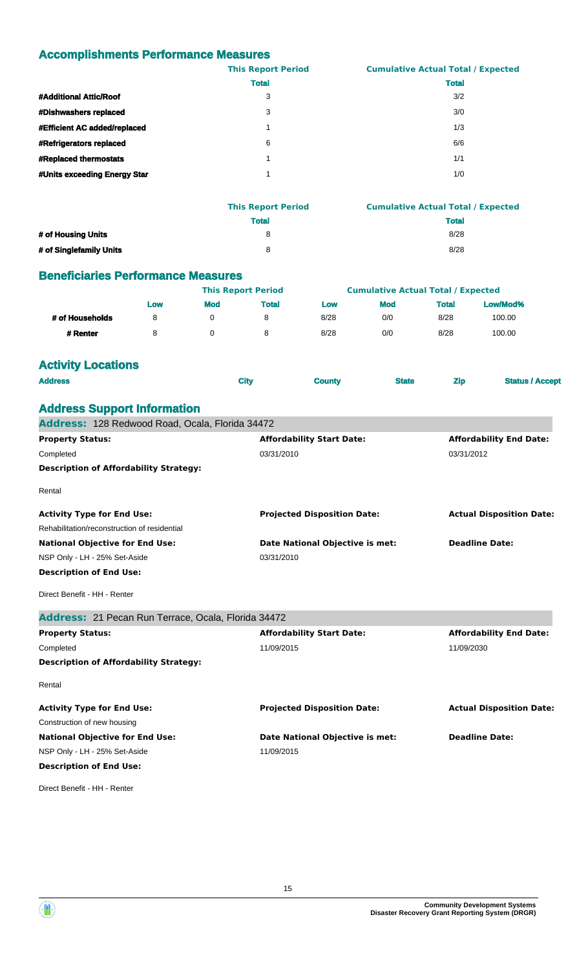## **Accomplishments Performance Measures**

|                              | <b>This Report Period</b> | <b>Cumulative Actual Total / Expected</b> |
|------------------------------|---------------------------|-------------------------------------------|
|                              | <b>Total</b>              | <b>Total</b>                              |
| #Additional Attic/Roof       | 3                         | 3/2                                       |
| #Dishwashers replaced        | 3                         | 3/0                                       |
| #Efficient AC added/replaced |                           | 1/3                                       |
| #Refrigerators replaced      | 6                         | 6/6                                       |
| #Replaced thermostats        |                           | 1/1                                       |
| #Units exceeding Energy Star |                           | 1/0                                       |

|                         | <b>This Report Period</b> | <b>Cumulative Actual Total / Expected</b> |
|-------------------------|---------------------------|-------------------------------------------|
|                         | <b>Total</b>              | <b>Total</b>                              |
| # of Housing Units      | я                         | 8/28                                      |
| # of Singlefamily Units | 8                         | 8/28                                      |

#### **Beneficiaries Performance Measures**

|                 |     |            | <b>This Report Period</b> |      | <b>Cumulative Actual Total / Expected</b> |              |          |
|-----------------|-----|------------|---------------------------|------|-------------------------------------------|--------------|----------|
|                 | Low | <b>Mod</b> | <b>Total</b>              | Low  | <b>Mod</b>                                | <b>Total</b> | Low/Mod% |
| # of Households | 8   |            | 8                         | 8/28 | 0/0                                       | 8/28         | 100.00   |
| # Renter        |     |            | 8                         | 8/28 | 0/0                                       | 8/28         | 100.00   |

# **Activity Locations**

**Address Support Information**

| <b>Address</b> | <b>City</b> | <b>County</b> | <b>State</b> | <b>Example 2 Zip</b> | <b>Status / Accept</b> |
|----------------|-------------|---------------|--------------|----------------------|------------------------|
|                |             |               |              |                      |                        |

| Address: 128 Redwood Road, Ocala, Florida 34472     |                                    |                                 |
|-----------------------------------------------------|------------------------------------|---------------------------------|
| <b>Property Status:</b>                             | <b>Affordability Start Date:</b>   | <b>Affordability End Date:</b>  |
| Completed                                           | 03/31/2010                         | 03/31/2012                      |
| <b>Description of Affordability Strategy:</b>       |                                    |                                 |
| Rental                                              |                                    |                                 |
| <b>Activity Type for End Use:</b>                   | <b>Projected Disposition Date:</b> | <b>Actual Disposition Date:</b> |
| Rehabilitation/reconstruction of residential        |                                    |                                 |
| <b>National Objective for End Use:</b>              | Date National Objective is met:    | <b>Deadline Date:</b>           |
| NSP Only - LH - 25% Set-Aside                       | 03/31/2010                         |                                 |
| <b>Description of End Use:</b>                      |                                    |                                 |
| Direct Benefit - HH - Renter                        |                                    |                                 |
| Address: 21 Pecan Run Terrace, Ocala, Florida 34472 |                                    |                                 |
| <b>Property Status:</b>                             | <b>Affordability Start Date:</b>   | <b>Affordability End Date:</b>  |
| Completed                                           | 11/09/2015                         | 11/09/2030                      |
| <b>Description of Affordability Strategy:</b>       |                                    |                                 |
| Rental                                              |                                    |                                 |
| <b>Activity Type for End Use:</b>                   | <b>Projected Disposition Date:</b> | <b>Actual Disposition Date:</b> |
| Construction of new housing                         |                                    |                                 |
| <b>National Objective for End Use:</b>              | Date National Objective is met:    | <b>Deadline Date:</b>           |
| NSP Only - LH - 25% Set-Aside                       | 11/09/2015                         |                                 |
| <b>Description of End Use:</b>                      |                                    |                                 |
|                                                     |                                    |                                 |

Direct Benefit - HH - Renter



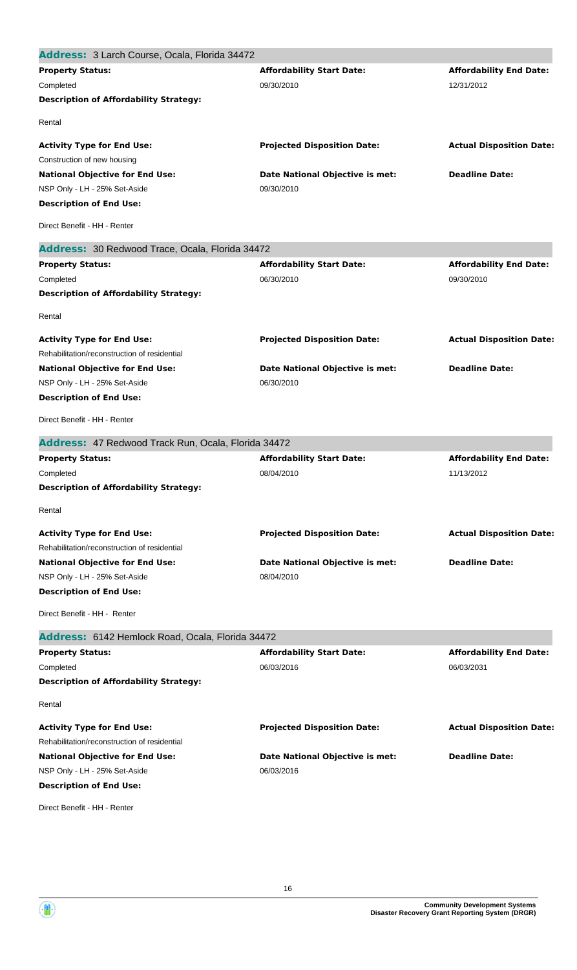| Address: 3 Larch Course, Ocala, Florida 34472       |                                    |                                 |
|-----------------------------------------------------|------------------------------------|---------------------------------|
| <b>Property Status:</b>                             | <b>Affordability Start Date:</b>   | <b>Affordability End Date:</b>  |
| Completed                                           | 09/30/2010                         | 12/31/2012                      |
| <b>Description of Affordability Strategy:</b>       |                                    |                                 |
| Rental                                              |                                    |                                 |
| <b>Activity Type for End Use:</b>                   | <b>Projected Disposition Date:</b> | <b>Actual Disposition Date:</b> |
| Construction of new housing                         |                                    |                                 |
| <b>National Objective for End Use:</b>              | Date National Objective is met:    | <b>Deadline Date:</b>           |
| NSP Only - LH - 25% Set-Aside                       | 09/30/2010                         |                                 |
| <b>Description of End Use:</b>                      |                                    |                                 |
| Direct Benefit - HH - Renter                        |                                    |                                 |
| Address: 30 Redwood Trace, Ocala, Florida 34472     |                                    |                                 |
| <b>Property Status:</b>                             | <b>Affordability Start Date:</b>   | <b>Affordability End Date:</b>  |
| Completed                                           | 06/30/2010                         | 09/30/2010                      |
| <b>Description of Affordability Strategy:</b>       |                                    |                                 |
| Rental                                              |                                    |                                 |
| <b>Activity Type for End Use:</b>                   | <b>Projected Disposition Date:</b> | <b>Actual Disposition Date:</b> |
| Rehabilitation/reconstruction of residential        |                                    |                                 |
| <b>National Objective for End Use:</b>              | Date National Objective is met:    | <b>Deadline Date:</b>           |
| NSP Only - LH - 25% Set-Aside                       | 06/30/2010                         |                                 |
| <b>Description of End Use:</b>                      |                                    |                                 |
| Direct Benefit - HH - Renter                        |                                    |                                 |
| Address: 47 Redwood Track Run, Ocala, Florida 34472 |                                    |                                 |
|                                                     |                                    |                                 |
| <b>Property Status:</b>                             | <b>Affordability Start Date:</b>   | <b>Affordability End Date:</b>  |
| Completed                                           | 08/04/2010                         | 11/13/2012                      |
| <b>Description of Affordability Strategy:</b>       |                                    |                                 |
| Rental                                              |                                    |                                 |
| <b>Activity Type for End Use:</b>                   | <b>Projected Disposition Date:</b> | <b>Actual Disposition Date:</b> |
| Rehabilitation/reconstruction of residential        |                                    |                                 |
| <b>National Objective for End Use:</b>              | Date National Objective is met:    | <b>Deadline Date:</b>           |
| NSP Only - LH - 25% Set-Aside                       | 08/04/2010                         |                                 |
| <b>Description of End Use:</b>                      |                                    |                                 |
| Direct Benefit - HH - Renter                        |                                    |                                 |
| Address: 6142 Hemlock Road, Ocala, Florida 34472    |                                    |                                 |
| <b>Property Status:</b>                             | <b>Affordability Start Date:</b>   | <b>Affordability End Date:</b>  |
| Completed                                           | 06/03/2016                         | 06/03/2031                      |
| <b>Description of Affordability Strategy:</b>       |                                    |                                 |
| Rental                                              |                                    |                                 |
| <b>Activity Type for End Use:</b>                   | <b>Projected Disposition Date:</b> | <b>Actual Disposition Date:</b> |
| Rehabilitation/reconstruction of residential        |                                    |                                 |
| <b>National Objective for End Use:</b>              | Date National Objective is met:    | <b>Deadline Date:</b>           |
| NSP Only - LH - 25% Set-Aside                       | 06/03/2016                         |                                 |
| <b>Description of End Use:</b>                      |                                    |                                 |

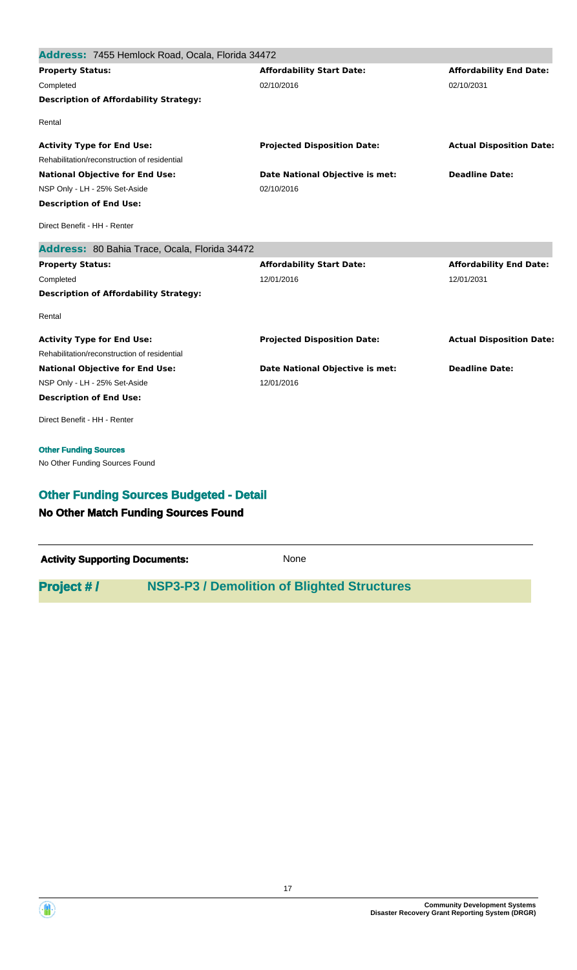| Address: 7455 Hemlock Road, Ocala, Florida 34472                                              |                                    |                                 |
|-----------------------------------------------------------------------------------------------|------------------------------------|---------------------------------|
| <b>Property Status:</b>                                                                       | <b>Affordability Start Date:</b>   | <b>Affordability End Date:</b>  |
| Completed                                                                                     | 02/10/2016                         | 02/10/2031                      |
| <b>Description of Affordability Strategy:</b>                                                 |                                    |                                 |
| Rental                                                                                        |                                    |                                 |
| <b>Activity Type for End Use:</b>                                                             | <b>Projected Disposition Date:</b> | <b>Actual Disposition Date:</b> |
| Rehabilitation/reconstruction of residential                                                  |                                    |                                 |
| <b>National Objective for End Use:</b>                                                        | Date National Objective is met:    | <b>Deadline Date:</b>           |
| NSP Only - LH - 25% Set-Aside                                                                 | 02/10/2016                         |                                 |
| <b>Description of End Use:</b>                                                                |                                    |                                 |
| Direct Benefit - HH - Renter                                                                  |                                    |                                 |
| Address: 80 Bahia Trace, Ocala, Florida 34472                                                 |                                    |                                 |
| <b>Property Status:</b>                                                                       | <b>Affordability Start Date:</b>   | <b>Affordability End Date:</b>  |
| Completed                                                                                     | 12/01/2016                         | 12/01/2031                      |
| <b>Description of Affordability Strategy:</b>                                                 |                                    |                                 |
| Rental                                                                                        |                                    |                                 |
| <b>Activity Type for End Use:</b>                                                             | <b>Projected Disposition Date:</b> | <b>Actual Disposition Date:</b> |
| Rehabilitation/reconstruction of residential                                                  |                                    |                                 |
| <b>National Objective for End Use:</b>                                                        | Date National Objective is met:    | <b>Deadline Date:</b>           |
| NSP Only - LH - 25% Set-Aside                                                                 | 12/01/2016                         |                                 |
| <b>Description of End Use:</b>                                                                |                                    |                                 |
| Direct Benefit - HH - Renter                                                                  |                                    |                                 |
| <b>Other Funding Sources</b>                                                                  |                                    |                                 |
| No Other Funding Sources Found                                                                |                                    |                                 |
| <b>Other Funding Sources Budgeted - Detail</b><br><b>No Other Match Funding Sources Found</b> |                                    |                                 |
|                                                                                               |                                    |                                 |

| <b>Activity Supporting Documents:</b> | None                                               |
|---------------------------------------|----------------------------------------------------|
| <b>Project #/</b>                     | <b>NSP3-P3 / Demolition of Blighted Structures</b> |

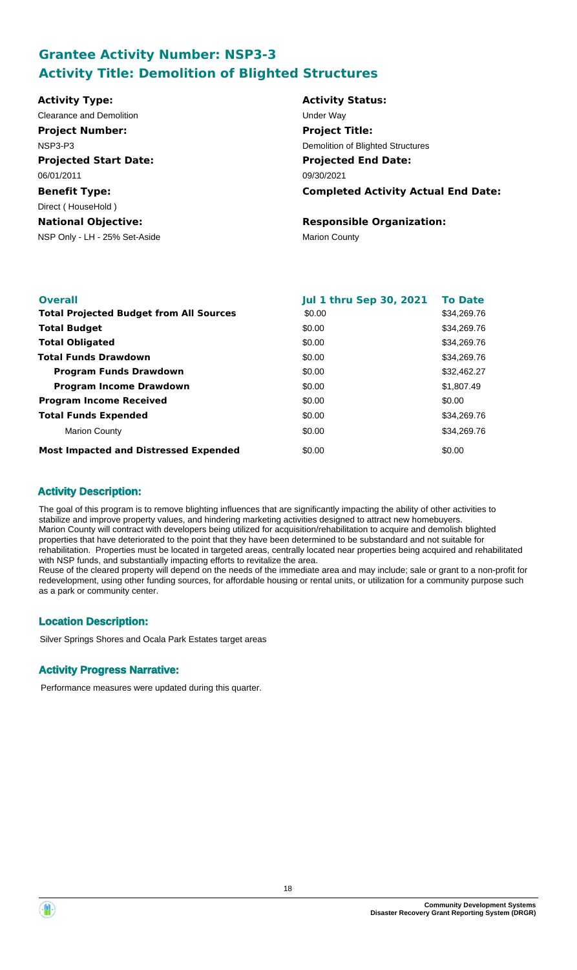# **Grantee Activity Number: NSP3-3 Activity Title: Demolition of Blighted Structures**

| <b>Activity Type:</b>         | <b>Activity Status:</b>                    |
|-------------------------------|--------------------------------------------|
| Clearance and Demolition      | Under Way                                  |
| <b>Project Number:</b>        | <b>Project Title:</b>                      |
| NSP3-P3                       | Demolition of Blighted Structures          |
| <b>Projected Start Date:</b>  | <b>Projected End Date:</b>                 |
| 06/01/2011                    | 09/30/2021                                 |
| <b>Benefit Type:</b>          | <b>Completed Activity Actual End Date:</b> |
| Direct (HouseHold)            |                                            |
| <b>National Objective:</b>    | <b>Responsible Organization:</b>           |
| NSP Only - LH - 25% Set-Aside | <b>Marion County</b>                       |
|                               |                                            |

| <b>Overall</b>                                 | <b>Jul 1 thru Sep 30, 2021</b> | <b>To Date</b> |
|------------------------------------------------|--------------------------------|----------------|
| <b>Total Projected Budget from All Sources</b> | \$0.00                         | \$34,269.76    |
| <b>Total Budget</b>                            | \$0.00                         | \$34,269.76    |
| <b>Total Obligated</b>                         | \$0.00                         | \$34,269.76    |
| <b>Total Funds Drawdown</b>                    | \$0.00                         | \$34,269.76    |
| <b>Program Funds Drawdown</b>                  | \$0.00                         | \$32,462.27    |
| <b>Program Income Drawdown</b>                 | \$0.00                         | \$1,807.49     |
| <b>Program Income Received</b>                 | \$0.00                         | \$0.00         |
| <b>Total Funds Expended</b>                    | \$0.00                         | \$34,269.76    |
| <b>Marion County</b>                           | \$0.00                         | \$34,269.76    |
| <b>Most Impacted and Distressed Expended</b>   | \$0.00                         | \$0.00         |

## **Activity Description:**

The goal of this program is to remove blighting influences that are significantly impacting the ability of other activities to stabilize and improve property values, and hindering marketing activities designed to attract new homebuyers. Marion County will contract with developers being utilized for acquisition/rehabilitation to acquire and demolish blighted properties that have deteriorated to the point that they have been determined to be substandard and not suitable for rehabilitation. Properties must be located in targeted areas, centrally located near properties being acquired and rehabilitated with NSP funds, and substantially impacting efforts to revitalize the area.

Reuse of the cleared property will depend on the needs of the immediate area and may include; sale or grant to a non-profit for redevelopment, using other funding sources, for affordable housing or rental units, or utilization for a community purpose such as a park or community center.

# **Location Description:**

Silver Springs Shores and Ocala Park Estates target areas

## **Activity Progress Narrative:**

Performance measures were updated during this quarter.

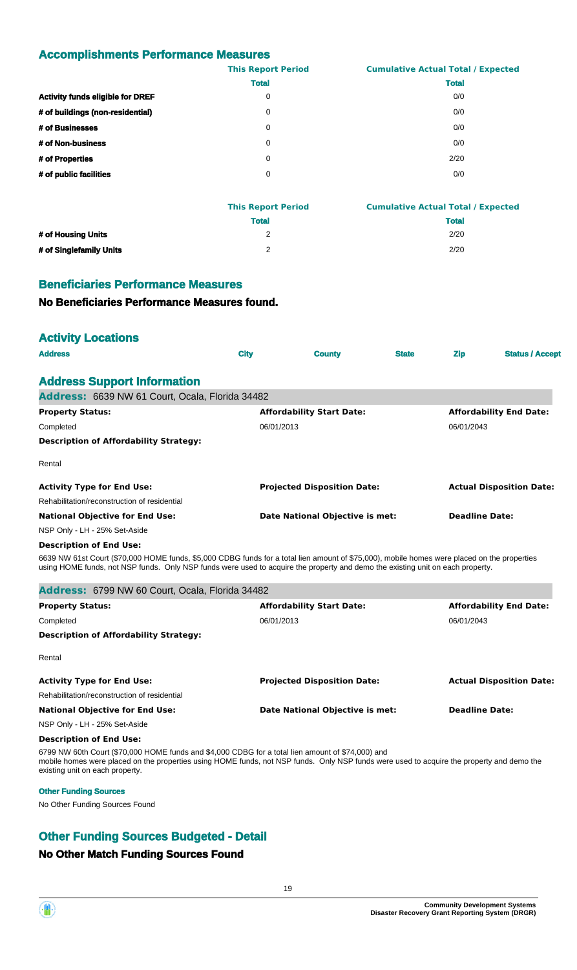## **Accomplishments Performance Measures**

|                                         | <b>This Report Period</b> | <b>Cumulative Actual Total / Expected</b> |
|-----------------------------------------|---------------------------|-------------------------------------------|
|                                         | <b>Total</b>              | <b>Total</b>                              |
| <b>Activity funds eligible for DREF</b> | 0                         | 0/0                                       |
| # of buildings (non-residential)        | 0                         | 0/0                                       |
| # of Businesses                         | 0                         | 0/0                                       |
| # of Non-business                       | 0                         | 0/0                                       |
| # of Properties                         | 0                         | 2/20                                      |
| # of public facilities                  | 0                         | 0/0                                       |

|                         | <b>This Report Period</b> | <b>Cumulative Actual Total / Expected</b> |
|-------------------------|---------------------------|-------------------------------------------|
|                         | <b>Total</b>              | <b>Total</b>                              |
| # of Housing Units      |                           | 2/20                                      |
| # of Singlefamily Units | ∼                         | 2/20                                      |

#### **Beneficiaries Performance Measures**

#### **No Beneficiaries Performance Measures found.**

#### **Activity Locations**

| <b>Address</b>                                  | <b>City</b> | <b>County</b>                      | <b>State</b> | <b>Zip</b>            | <b>Status / Accept</b>          |
|-------------------------------------------------|-------------|------------------------------------|--------------|-----------------------|---------------------------------|
| <b>Address Support Information</b>              |             |                                    |              |                       |                                 |
| Address: 6639 NW 61 Court, Ocala, Florida 34482 |             |                                    |              |                       |                                 |
| <b>Property Status:</b>                         |             | <b>Affordability Start Date:</b>   |              |                       | <b>Affordability End Date:</b>  |
| Completed                                       | 06/01/2013  |                                    |              | 06/01/2043            |                                 |
| <b>Description of Affordability Strategy:</b>   |             |                                    |              |                       |                                 |
| Rental                                          |             |                                    |              |                       |                                 |
| <b>Activity Type for End Use:</b>               |             | <b>Projected Disposition Date:</b> |              |                       | <b>Actual Disposition Date:</b> |
| Rehabilitation/reconstruction of residential    |             |                                    |              |                       |                                 |
| <b>National Objective for End Use:</b>          |             | Date National Objective is met:    |              | <b>Deadline Date:</b> |                                 |
| NSP Only - LH - 25% Set-Aside                   |             |                                    |              |                       |                                 |

#### **Description of End Use:**

6639 NW 61st Court (\$70,000 HOME funds, \$5,000 CDBG funds for a total lien amount of \$75,000), mobile homes were placed on the properties using HOME funds, not NSP funds. Only NSP funds were used to acquire the property and demo the existing unit on each property.

| Address: 6799 NW 60 Court, Ocala, Florida 34482                                                                                                                                                                                                                                   |                                    |                                 |
|-----------------------------------------------------------------------------------------------------------------------------------------------------------------------------------------------------------------------------------------------------------------------------------|------------------------------------|---------------------------------|
| <b>Property Status:</b>                                                                                                                                                                                                                                                           | <b>Affordability Start Date:</b>   | <b>Affordability End Date:</b>  |
| Completed                                                                                                                                                                                                                                                                         | 06/01/2013                         | 06/01/2043                      |
| <b>Description of Affordability Strategy:</b>                                                                                                                                                                                                                                     |                                    |                                 |
| Rental                                                                                                                                                                                                                                                                            |                                    |                                 |
| <b>Activity Type for End Use:</b>                                                                                                                                                                                                                                                 | <b>Projected Disposition Date:</b> | <b>Actual Disposition Date:</b> |
| Rehabilitation/reconstruction of residential                                                                                                                                                                                                                                      |                                    |                                 |
| <b>National Objective for End Use:</b>                                                                                                                                                                                                                                            | Date National Objective is met:    | <b>Deadline Date:</b>           |
| NSP Only - LH - 25% Set-Aside                                                                                                                                                                                                                                                     |                                    |                                 |
| <b>Description of End Use:</b>                                                                                                                                                                                                                                                    |                                    |                                 |
| 6799 NW 60th Court (\$70,000 HOME funds and \$4,000 CDBG for a total lien amount of \$74,000) and<br>mobile homes were placed on the properties using HOME funds, not NSP funds. Only NSP funds were used to acquire the property and demo the<br>existing unit on each property. |                                    |                                 |

#### **Other Funding Sources**

No Other Funding Sources Found

# **Other Funding Sources Budgeted - Detail**

#### **No Other Match Funding Sources Found**